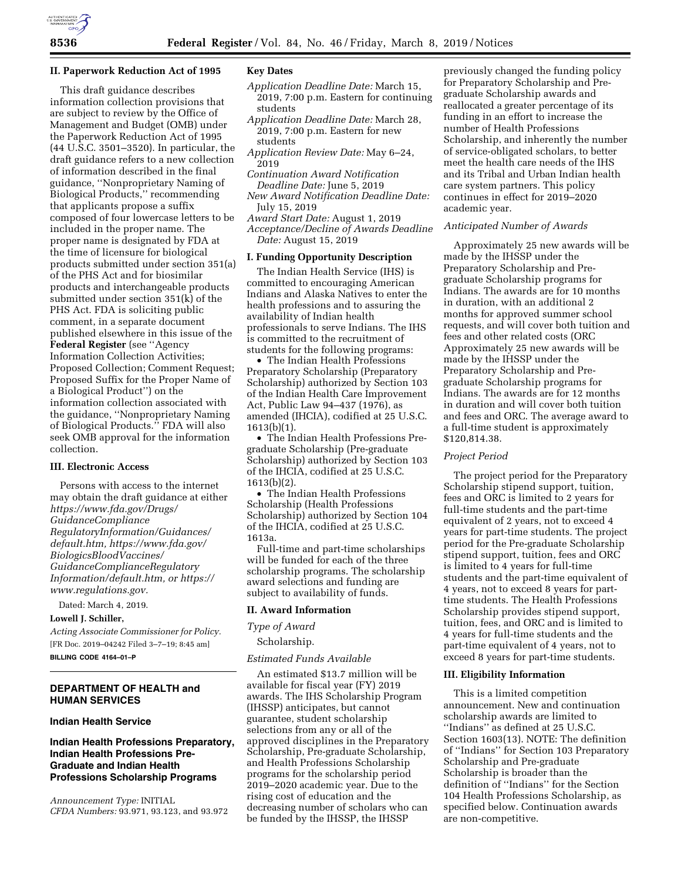

#### **II. Paperwork Reduction Act of 1995**

This draft guidance describes information collection provisions that are subject to review by the Office of Management and Budget (OMB) under the Paperwork Reduction Act of 1995 (44 U.S.C. 3501–3520). In particular, the draft guidance refers to a new collection of information described in the final guidance, ''Nonproprietary Naming of Biological Products,'' recommending that applicants propose a suffix composed of four lowercase letters to be included in the proper name. The proper name is designated by FDA at the time of licensure for biological products submitted under section 351(a) of the PHS Act and for biosimilar products and interchangeable products submitted under section 351(k) of the PHS Act. FDA is soliciting public comment, in a separate document published elsewhere in this issue of the **Federal Register** (see ''Agency Information Collection Activities; Proposed Collection; Comment Request; Proposed Suffix for the Proper Name of a Biological Product'') on the information collection associated with the guidance, ''Nonproprietary Naming of Biological Products.'' FDA will also seek OMB approval for the information collection.

## **III. Electronic Access**

Persons with access to the internet may obtain the draft guidance at either *[https://www.fda.gov/Drugs/](https://www.fda.gov/Drugs/GuidanceComplianceRegulatoryInformation/Guidances/default.htm)  [GuidanceCompliance](https://www.fda.gov/Drugs/GuidanceComplianceRegulatoryInformation/Guidances/default.htm) [RegulatoryInformation/Guidances/](https://www.fda.gov/Drugs/GuidanceComplianceRegulatoryInformation/Guidances/default.htm)  [default.htm,](https://www.fda.gov/Drugs/GuidanceComplianceRegulatoryInformation/Guidances/default.htm) [https://www.fda.gov/](https://www.fda.gov/BiologicsBloodVaccines/GuidanceComplianceRegulatoryInformation/default.htm)  [BiologicsBloodVaccines/](https://www.fda.gov/BiologicsBloodVaccines/GuidanceComplianceRegulatoryInformation/default.htm)  [GuidanceComplianceRegulatory](https://www.fda.gov/BiologicsBloodVaccines/GuidanceComplianceRegulatoryInformation/default.htm) [Information/default.htm,](https://www.fda.gov/BiologicsBloodVaccines/GuidanceComplianceRegulatoryInformation/default.htm) or [https://](https://www.regulations.gov) [www.regulations.gov.](https://www.regulations.gov)* 

Dated: March 4, 2019.

#### **Lowell J. Schiller,**

*Acting Associate Commissioner for Policy.*  [FR Doc. 2019–04242 Filed 3–7–19; 8:45 am]

**BILLING CODE 4164–01–P** 

# **DEPARTMENT OF HEALTH and HUMAN SERVICES**

#### **Indian Health Service**

# **Indian Health Professions Preparatory, Indian Health Professions Pre-Graduate and Indian Health Professions Scholarship Programs**

*Announcement Type:* INITIAL *CFDA Numbers:* 93.971, 93.123, and 93.972

# **Key Dates**

- *Application Deadline Date:* March 15, 2019, 7:00 p.m. Eastern for continuing students
- *Application Deadline Date:* March 28, 2019, 7:00 p.m. Eastern for new students
- *Application Review Date:* May 6–24, 2019
- *Continuation Award Notification Deadline Date:* June 5, 2019

*New Award Notification Deadline Date:*  July 15, 2019

*Award Start Date:* August 1, 2019 *Acceptance/Decline of Awards Deadline Date:* August 15, 2019

# **I. Funding Opportunity Description**

The Indian Health Service (IHS) is committed to encouraging American Indians and Alaska Natives to enter the health professions and to assuring the availability of Indian health professionals to serve Indians. The IHS is committed to the recruitment of students for the following programs:

• The Indian Health Professions Preparatory Scholarship (Preparatory Scholarship) authorized by Section 103 of the Indian Health Care Improvement Act, Public Law 94–437 (1976), as amended (IHCIA), codified at 25 U.S.C. 1613(b)(1).

• The Indian Health Professions Pregraduate Scholarship (Pre-graduate Scholarship) authorized by Section 103 of the IHCIA, codified at 25 U.S.C. 1613(b)(2).

• The Indian Health Professions Scholarship (Health Professions Scholarship) authorized by Section 104 of the IHCIA, codified at 25 U.S.C. 1613a.

Full-time and part-time scholarships will be funded for each of the three scholarship programs. The scholarship award selections and funding are subject to availability of funds.

## **II. Award Information**

### *Type of Award*

## Scholarship.

### *Estimated Funds Available*

An estimated \$13.7 million will be available for fiscal year (FY) 2019 awards. The IHS Scholarship Program (IHSSP) anticipates, but cannot guarantee, student scholarship selections from any or all of the approved disciplines in the Preparatory Scholarship, Pre-graduate Scholarship, and Health Professions Scholarship programs for the scholarship period 2019–2020 academic year. Due to the rising cost of education and the decreasing number of scholars who can be funded by the IHSSP, the IHSSP

previously changed the funding policy for Preparatory Scholarship and Pregraduate Scholarship awards and reallocated a greater percentage of its funding in an effort to increase the number of Health Professions Scholarship, and inherently the number of service-obligated scholars, to better meet the health care needs of the IHS and its Tribal and Urban Indian health care system partners. This policy continues in effect for 2019–2020 academic year.

# *Anticipated Number of Awards*

Approximately 25 new awards will be made by the IHSSP under the Preparatory Scholarship and Pregraduate Scholarship programs for Indians. The awards are for 10 months in duration, with an additional 2 months for approved summer school requests, and will cover both tuition and fees and other related costs (ORC Approximately 25 new awards will be made by the IHSSP under the Preparatory Scholarship and Pregraduate Scholarship programs for Indians. The awards are for 12 months in duration and will cover both tuition and fees and ORC. The average award to a full-time student is approximately \$120,814.38.

### *Project Period*

The project period for the Preparatory Scholarship stipend support, tuition, fees and ORC is limited to 2 years for full-time students and the part-time equivalent of 2 years, not to exceed 4 years for part-time students. The project period for the Pre-graduate Scholarship stipend support, tuition, fees and ORC is limited to 4 years for full-time students and the part-time equivalent of 4 years, not to exceed 8 years for parttime students. The Health Professions Scholarship provides stipend support, tuition, fees, and ORC and is limited to 4 years for full-time students and the part-time equivalent of 4 years, not to exceed 8 years for part-time students.

### **III. Eligibility Information**

This is a limited competition announcement. New and continuation scholarship awards are limited to ''Indians'' as defined at 25 U.S.C. Section 1603(13). NOTE: The definition of ''Indians'' for Section 103 Preparatory Scholarship and Pre-graduate Scholarship is broader than the definition of ''Indians'' for the Section 104 Health Professions Scholarship, as specified below. Continuation awards are non-competitive.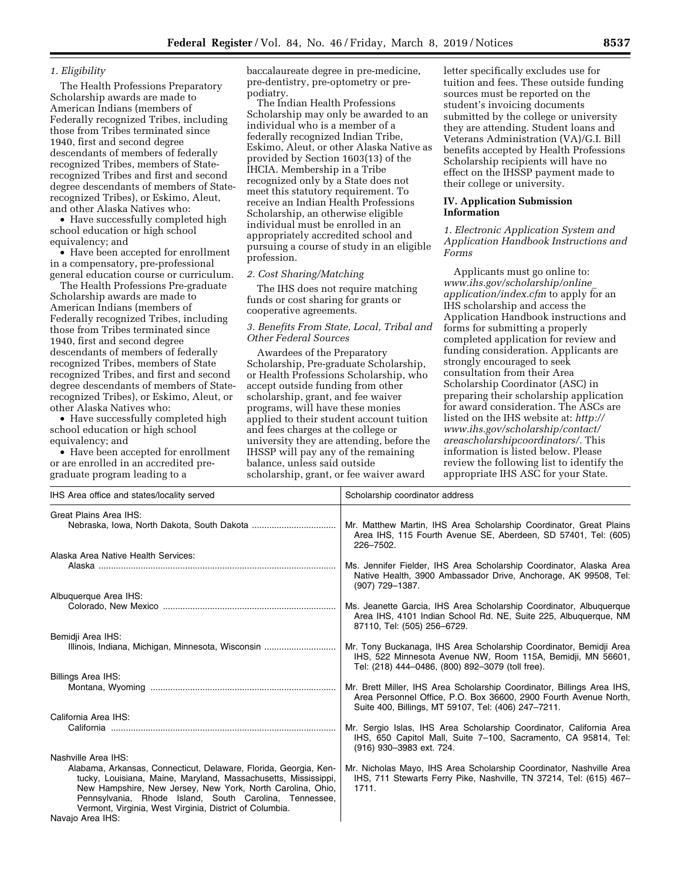## *1. Eligibility*

The Health Professions Preparatory Scholarship awards are made to American Indians (members of Federally recognized Tribes, including those from Tribes terminated since 1940, first and second degree descendants of members of federally recognized Tribes, members of Staterecognized Tribes and first and second degree descendants of members of Staterecognized Tribes), or Eskimo, Aleut, and other Alaska Natives who:

• Have successfully completed high school education or high school equivalency; and

• Have been accepted for enrollment in a compensatory, pre-professional general education course or curriculum.

The Health Professions Pre-graduate Scholarship awards are made to American Indians (members of Federally recognized Tribes, including those from Tribes terminated since 1940, first and second degree descendants of members of federally recognized Tribes, members of State recognized Tribes, and first and second degree descendants of members of Staterecognized Tribes), or Eskimo, Aleut, or other Alaska Natives who:

• Have successfully completed high school education or high school equivalency; and

• Have been accepted for enrollment or are enrolled in an accredited pregraduate program leading to a

baccalaureate degree in pre-medicine, pre-dentistry, pre-optometry or prepodiatry.

The Indian Health Professions Scholarship may only be awarded to an individual who is a member of a federally recognized Indian Tribe, Eskimo, Aleut, or other Alaska Native as provided by Section 1603(13) of the IHCIA. Membership in a Tribe recognized only by a State does not meet this statutory requirement. To receive an Indian Health Professions Scholarship, an otherwise eligible individual must be enrolled in an appropriately accredited school and pursuing a course of study in an eligible profession.

# *2. Cost Sharing/Matching*

The IHS does not require matching funds or cost sharing for grants or cooperative agreements.

# *3. Benefits From State, Local, Tribal and Other Federal Sources*

Awardees of the Preparatory Scholarship, Pre-graduate Scholarship, or Health Professions Scholarship, who accept outside funding from other scholarship, grant, and fee waiver programs, will have these monies applied to their student account tuition and fees charges at the college or university they are attending, before the IHSSP will pay any of the remaining balance, unless said outside scholarship, grant, or fee waiver award

letter specifically excludes use for tuition and fees. These outside funding sources must be reported on the student's invoicing documents submitted by the college or university they are attending. Student loans and Veterans Administration (VA)/G.I. Bill benefits accepted by Health Professions Scholarship recipients will have no effect on the IHSSP payment made to their college or university.

## **IV. Application Submission Information**

*1. Electronic Application System and Application Handbook Instructions and Forms* 

Applicants must go online to: *[www.ihs.gov/scholarship/online](http://www.ihs.gov/scholarship/online_application/index.cfm)*\_ *[application/index.cfm](http://www.ihs.gov/scholarship/online_application/index.cfm)* to apply for an IHS scholarship and access the Application Handbook instructions and forms for submitting a properly completed application for review and funding consideration. Applicants are strongly encouraged to seek consultation from their Area Scholarship Coordinator (ASC) in preparing their scholarship application for award consideration. The ASCs are listed on the IHS website at: *[http://](http://www.ihs.gov/scholarship/contact/areascholarshipcoordinators/) [www.ihs.gov/scholarship/contact/](http://www.ihs.gov/scholarship/contact/areascholarshipcoordinators/) [areascholarshipcoordinators/.](http://www.ihs.gov/scholarship/contact/areascholarshipcoordinators/)* This information is listed below. Please review the following list to identify the appropriate IHS ASC for your State.

| IHS Area office and states/locality served                                                                                                                                                                                                                                                                                                                       | Scholarship coordinator address                                                                                                                                                                   |
|------------------------------------------------------------------------------------------------------------------------------------------------------------------------------------------------------------------------------------------------------------------------------------------------------------------------------------------------------------------|---------------------------------------------------------------------------------------------------------------------------------------------------------------------------------------------------|
| Great Plains Area IHS:                                                                                                                                                                                                                                                                                                                                           | Mr. Matthew Martin, IHS Area Scholarship Coordinator, Great Plains<br>Area IHS, 115 Fourth Avenue SE, Aberdeen, SD 57401, Tel: (605)<br>226-7502.                                                 |
| Alaska Area Native Health Services:                                                                                                                                                                                                                                                                                                                              | Ms. Jennifer Fielder, IHS Area Scholarship Coordinator, Alaska Area<br>Native Health, 3900 Ambassador Drive, Anchorage, AK 99508, Tel:<br>$(907)$ 729-1387.                                       |
| Albuquerque Area IHS:                                                                                                                                                                                                                                                                                                                                            | Ms. Jeanette Garcia, IHS Area Scholarship Coordinator, Albuquerque<br>Area IHS, 4101 Indian School Rd. NE, Suite 225, Albuquerque, NM<br>87110, Tel: (505) 256-6729.                              |
| Bemidji Area IHS:<br>Illinois, Indiana, Michigan, Minnesota, Wisconsin                                                                                                                                                                                                                                                                                           | Mr. Tony Buckanaga, IHS Area Scholarship Coordinator, Bemidji Area<br>IHS, 522 Minnesota Avenue NW, Room 115A, Bemidji, MN 56601,<br>Tel: (218) 444-0486, (800) 892-3079 (toll free).             |
| <b>Billings Area IHS:</b>                                                                                                                                                                                                                                                                                                                                        | Mr. Brett Miller, IHS Area Scholarship Coordinator, Billings Area IHS,<br>Area Personnel Office, P.O. Box 36600, 2900 Fourth Avenue North,<br>Suite 400, Billings, MT 59107, Tel: (406) 247-7211. |
| California Area IHS:                                                                                                                                                                                                                                                                                                                                             | Mr. Sergio Islas, IHS Area Scholarship Coordinator, California Area<br>IHS, 650 Capitol Mall, Suite 7-100, Sacramento, CA 95814, Tel:<br>(916) 930-3983 ext. 724.                                 |
| Nashville Area IHS:<br>Alabama, Arkansas, Connecticut, Delaware, Florida, Georgia, Ken-<br>tucky, Louisiana, Maine, Maryland, Massachusetts, Mississippi,<br>New Hampshire, New Jersey, New York, North Carolina, Ohio,<br>Pennsylvania, Rhode Island, South Carolina, Tennessee,<br>Vermont, Virginia, West Virginia, District of Columbia.<br>Navajo Area IHS: | Mr. Nicholas Mayo, IHS Area Scholarship Coordinator, Nashville Area<br>IHS, 711 Stewarts Ferry Pike, Nashville, TN 37214, Tel: (615) 467-<br>1711.                                                |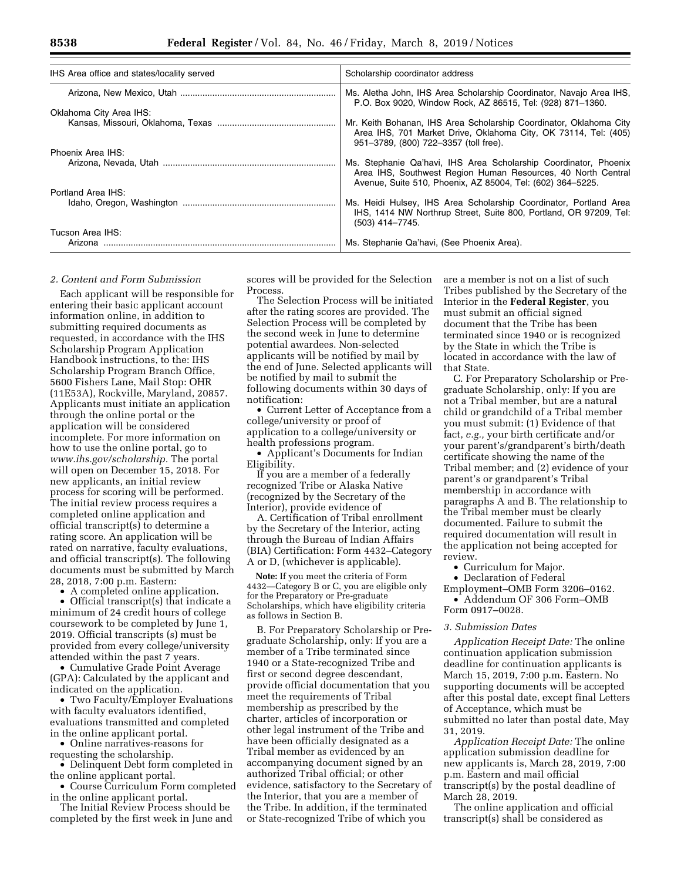| IHS Area office and states/locality served | Scholarship coordinator address                                                                                                                                                                |
|--------------------------------------------|------------------------------------------------------------------------------------------------------------------------------------------------------------------------------------------------|
|                                            | Ms. Aletha John, IHS Area Scholarship Coordinator, Navajo Area IHS,                                                                                                                            |
| Oklahoma City Area IHS:                    | P.O. Box 9020, Window Rock, AZ 86515, Tel: (928) 871-1360.                                                                                                                                     |
|                                            | Mr. Keith Bohanan, IHS Area Scholarship Coordinator, Oklahoma City<br>Area IHS, 701 Market Drive, Oklahoma City, OK 73114, Tel: (405)<br>951-3789, (800) 722-3357 (toll free).                 |
| Phoenix Area IHS:                          |                                                                                                                                                                                                |
|                                            | Ms. Stephanie Qa'havi, IHS Area Scholarship Coordinator, Phoenix<br>Area IHS, Southwest Region Human Resources, 40 North Central<br>Avenue, Suite 510, Phoenix, AZ 85004, Tel: (602) 364-5225. |
| Portland Area IHS:                         |                                                                                                                                                                                                |
|                                            | Ms. Heidi Hulsey, IHS Area Scholarship Coordinator, Portland Area<br>IHS, 1414 NW Northrup Street, Suite 800, Portland, OR 97209, Tel:<br>$(503)$ 414-7745.                                    |
| Tucson Area IHS:                           |                                                                                                                                                                                                |
|                                            | Ms. Stephanie Qa'havi, (See Phoenix Area).                                                                                                                                                     |

#### *2. Content and Form Submission*

Each applicant will be responsible for entering their basic applicant account information online, in addition to submitting required documents as requested, in accordance with the IHS Scholarship Program Application Handbook instructions, to the: IHS Scholarship Program Branch Office, 5600 Fishers Lane, Mail Stop: OHR (11E53A), Rockville, Maryland, 20857. Applicants must initiate an application through the online portal or the application will be considered incomplete. For more information on how to use the online portal, go to *[www.ihs.gov/scholarship.](http://www.ihs.gov/scholarship)* The portal will open on December 15, 2018. For new applicants, an initial review process for scoring will be performed. The initial review process requires a completed online application and official transcript(s) to determine a rating score. An application will be rated on narrative, faculty evaluations, and official transcript(s). The following documents must be submitted by March 28, 2018, 7:00 p.m. Eastern:

• A completed online application. • Official transcript(s) that indicate a minimum of 24 credit hours of college coursework to be completed by June 1, 2019. Official transcripts (s) must be

provided from every college/university attended within the past 7 years. • Cumulative Grade Point Average (GPA): Calculated by the applicant and indicated on the application.

• Two Faculty/Employer Evaluations with faculty evaluators identified, evaluations transmitted and completed in the online applicant portal.

• Online narratives-reasons for requesting the scholarship.

• Delinquent Debt form completed in the online applicant portal.

• Course Curriculum Form completed in the online applicant portal.

The Initial Review Process should be completed by the first week in June and scores will be provided for the Selection Process.

The Selection Process will be initiated after the rating scores are provided. The Selection Process will be completed by the second week in June to determine potential awardees. Non-selected applicants will be notified by mail by the end of June. Selected applicants will be notified by mail to submit the following documents within 30 days of notification:

• Current Letter of Acceptance from a college/university or proof of application to a college/university or health professions program.

• Applicant's Documents for Indian Eligibility.

If you are a member of a federally recognized Tribe or Alaska Native (recognized by the Secretary of the Interior), provide evidence of

A. Certification of Tribal enrollment by the Secretary of the Interior, acting through the Bureau of Indian Affairs (BIA) Certification: Form 4432–Category A or D, (whichever is applicable).

**Note:** If you meet the criteria of Form 4432—Category B or C, you are eligible only for the Preparatory or Pre-graduate Scholarships, which have eligibility criteria as follows in Section B.

B. For Preparatory Scholarship or Pregraduate Scholarship, only: If you are a member of a Tribe terminated since 1940 or a State-recognized Tribe and first or second degree descendant, provide official documentation that you meet the requirements of Tribal membership as prescribed by the charter, articles of incorporation or other legal instrument of the Tribe and have been officially designated as a Tribal member as evidenced by an accompanying document signed by an authorized Tribal official; or other evidence, satisfactory to the Secretary of the Interior, that you are a member of the Tribe. In addition, if the terminated or State-recognized Tribe of which you

are a member is not on a list of such Tribes published by the Secretary of the Interior in the **Federal Register**, you must submit an official signed document that the Tribe has been terminated since 1940 or is recognized by the State in which the Tribe is located in accordance with the law of that State.

C. For Preparatory Scholarship or Pregraduate Scholarship, only: If you are not a Tribal member, but are a natural child or grandchild of a Tribal member you must submit: (1) Evidence of that fact, *e.g.,* your birth certificate and/or your parent's/grandparent's birth/death certificate showing the name of the Tribal member; and (2) evidence of your parent's or grandparent's Tribal membership in accordance with paragraphs A and B. The relationship to the Tribal member must be clearly documented. Failure to submit the required documentation will result in the application not being accepted for review.

• Curriculum for Major.

• Declaration of Federal

Employment–OMB Form 3206–0162. • Addendum OF 306 Form–OMB

Form 0917–0028.

#### *3. Submission Dates*

*Application Receipt Date:* The online continuation application submission deadline for continuation applicants is March 15, 2019, 7:00 p.m. Eastern. No supporting documents will be accepted after this postal date, except final Letters of Acceptance, which must be submitted no later than postal date, May 31, 2019.

*Application Receipt Date:* The online application submission deadline for new applicants is, March 28, 2019, 7:00 p.m. Eastern and mail official transcript(s) by the postal deadline of March 28, 2019.

The online application and official transcript(s) shall be considered as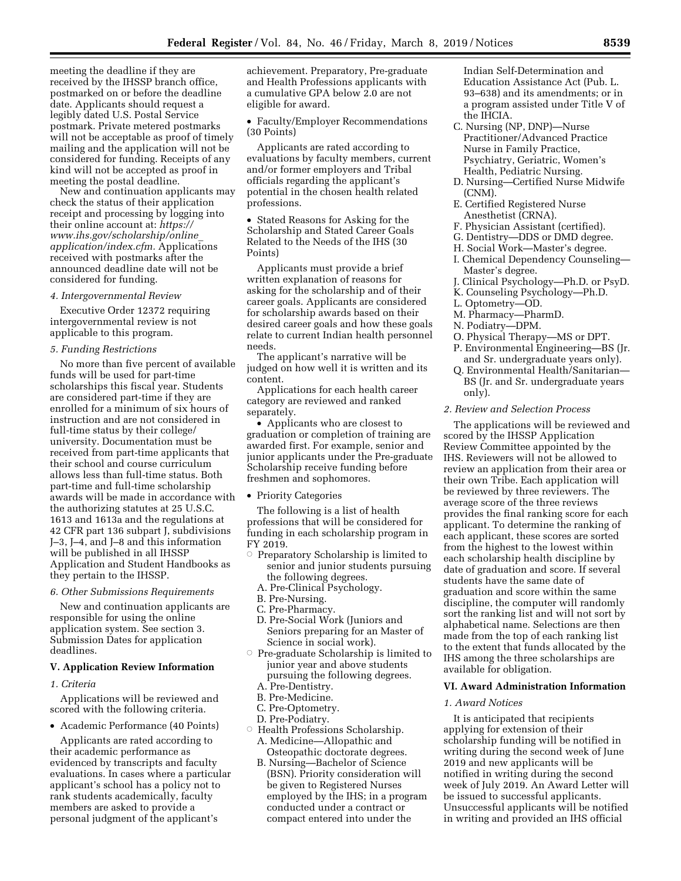meeting the deadline if they are received by the IHSSP branch office, postmarked on or before the deadline date. Applicants should request a legibly dated U.S. Postal Service postmark. Private metered postmarks will not be acceptable as proof of timely mailing and the application will not be considered for funding. Receipts of any kind will not be accepted as proof in meeting the postal deadline.

New and continuation applicants may check the status of their application receipt and processing by logging into their online account at: *[https://](https://www.ihs.gov/scholarship/online_application/index.cfm) [www.ihs.gov/scholarship/online](https://www.ihs.gov/scholarship/online_application/index.cfm)*\_ *[application/index.cfm.](https://www.ihs.gov/scholarship/online_application/index.cfm)* Applications received with postmarks after the announced deadline date will not be considered for funding.

#### *4. Intergovernmental Review*

Executive Order 12372 requiring intergovernmental review is not applicable to this program.

#### *5. Funding Restrictions*

No more than five percent of available funds will be used for part-time scholarships this fiscal year. Students are considered part-time if they are enrolled for a minimum of six hours of instruction and are not considered in full-time status by their college/ university. Documentation must be received from part-time applicants that their school and course curriculum allows less than full-time status. Both part-time and full-time scholarship awards will be made in accordance with the authorizing statutes at 25 U.S.C. 1613 and 1613a and the regulations at 42 CFR part 136 subpart J, subdivisions J–3, J–4, and J–8 and this information will be published in all IHSSP Application and Student Handbooks as they pertain to the IHSSP.

#### *6. Other Submissions Requirements*

New and continuation applicants are responsible for using the online application system. See section 3. Submission Dates for application deadlines.

### **V. Application Review Information**

## *1. Criteria*

Applications will be reviewed and scored with the following criteria.

• Academic Performance (40 Points)

Applicants are rated according to their academic performance as evidenced by transcripts and faculty evaluations. In cases where a particular applicant's school has a policy not to rank students academically, faculty members are asked to provide a personal judgment of the applicant's

achievement. Preparatory, Pre-graduate and Health Professions applicants with a cumulative GPA below 2.0 are not eligible for award.

• Faculty/Employer Recommendations (30 Points)

Applicants are rated according to evaluations by faculty members, current and/or former employers and Tribal officials regarding the applicant's potential in the chosen health related professions.

• Stated Reasons for Asking for the Scholarship and Stated Career Goals Related to the Needs of the IHS (30 Points)

Applicants must provide a brief written explanation of reasons for asking for the scholarship and of their career goals. Applicants are considered for scholarship awards based on their desired career goals and how these goals relate to current Indian health personnel needs.

The applicant's narrative will be judged on how well it is written and its content.

Applications for each health career category are reviewed and ranked separately.

• Applicants who are closest to graduation or completion of training are awarded first. For example, senior and junior applicants under the Pre-graduate Scholarship receive funding before freshmen and sophomores.

#### • Priority Categories

The following is a list of health professions that will be considered for funding in each scholarship program in FY 2019.

- $\circ$  Preparatory Scholarship is limited to senior and junior students pursuing the following degrees.
	- A. Pre-Clinical Psychology.
	- B. Pre-Nursing.
	- C. Pre-Pharmacy.
- D. Pre-Social Work (Juniors and Seniors preparing for an Master of Science in social work).
- $\circ$  Pre-graduate Scholarship is limited to junior year and above students pursuing the following degrees.
	- A. Pre-Dentistry.
	- B. Pre-Medicine.
	- C. Pre-Optometry.
	- D. Pre-Podiatry.
- $\circ$  Health Professions Scholarship. A. Medicine—Allopathic and Osteopathic doctorate degrees.
	- B. Nursing—Bachelor of Science (BSN). Priority consideration will be given to Registered Nurses employed by the IHS; in a program conducted under a contract or compact entered into under the

Indian Self-Determination and Education Assistance Act (Pub. L. 93–638) and its amendments; or in a program assisted under Title V of the IHCIA.

- C. Nursing (NP, DNP)—Nurse Practitioner/Advanced Practice Nurse in Family Practice, Psychiatry, Geriatric, Women's Health, Pediatric Nursing.
- D. Nursing—Certified Nurse Midwife (CNM).
- E. Certified Registered Nurse Anesthetist (CRNA).
- F. Physician Assistant (certified).
- G. Dentistry—DDS or DMD degree.
- H. Social Work—Master's degree.
- I. Chemical Dependency Counseling— Master's degree.
- J. Clinical Psychology—Ph.D. or PsyD.
- K. Counseling Psychology—Ph.D.
- L. Optometry—OD.
- M. Pharmacy—PharmD.
- N. Podiatry—DPM.
- O. Physical Therapy—MS or DPT.
- P. Environmental Engineering—BS (Jr. and Sr. undergraduate years only).
- Q. Environmental Health/Sanitarian— BS (Jr. and Sr. undergraduate years only).

#### *2. Review and Selection Process*

The applications will be reviewed and scored by the IHSSP Application Review Committee appointed by the IHS. Reviewers will not be allowed to review an application from their area or their own Tribe. Each application will be reviewed by three reviewers. The average score of the three reviews provides the final ranking score for each applicant. To determine the ranking of each applicant, these scores are sorted from the highest to the lowest within each scholarship health discipline by date of graduation and score. If several students have the same date of graduation and score within the same discipline, the computer will randomly sort the ranking list and will not sort by alphabetical name. Selections are then made from the top of each ranking list to the extent that funds allocated by the IHS among the three scholarships are available for obligation.

### **VI. Award Administration Information**

### *1. Award Notices*

It is anticipated that recipients applying for extension of their scholarship funding will be notified in writing during the second week of June 2019 and new applicants will be notified in writing during the second week of July 2019. An Award Letter will be issued to successful applicants. Unsuccessful applicants will be notified in writing and provided an IHS official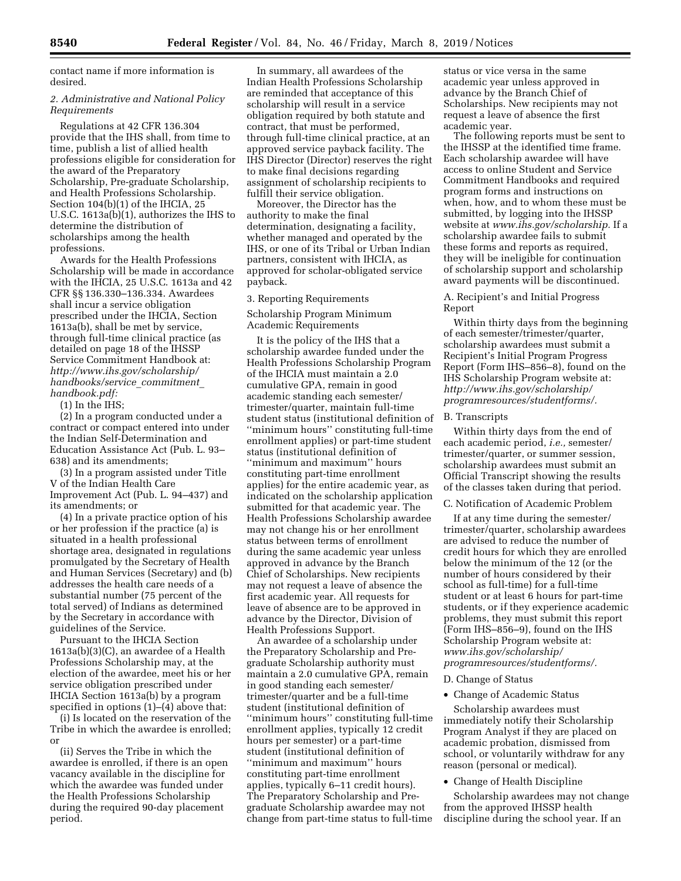contact name if more information is desired.

# *2. Administrative and National Policy Requirements*

Regulations at 42 CFR 136.304 provide that the IHS shall, from time to time, publish a list of allied health professions eligible for consideration for the award of the Preparatory Scholarship, Pre-graduate Scholarship, and Health Professions Scholarship. Section 104(b)(1) of the IHCIA, 25 U.S.C. 1613a(b)(1), authorizes the IHS to determine the distribution of scholarships among the health professions.

Awards for the Health Professions Scholarship will be made in accordance with the IHCIA, 25 U.S.C. 1613a and 42 CFR §§ 136.330–136.334. Awardees shall incur a service obligation prescribed under the IHCIA, Section 1613a(b), shall be met by service, through full-time clinical practice (as detailed on page 18 of the IHSSP Service Commitment Handbook at: *[http://www.ihs.gov/scholarship/](http://www.ihs.gov/scholarship/handbooks/service_commitment_)  [handbooks/service](http://www.ihs.gov/scholarship/handbooks/service_commitment_)*\_*commitment*\_ *handbook.pdf:* 

(1) In the IHS;

(2) In a program conducted under a contract or compact entered into under the Indian Self-Determination and Education Assistance Act (Pub. L. 93– 638) and its amendments;

(3) In a program assisted under Title V of the Indian Health Care Improvement Act (Pub. L. 94–437) and its amendments; or

(4) In a private practice option of his or her profession if the practice (a) is situated in a health professional shortage area, designated in regulations promulgated by the Secretary of Health and Human Services (Secretary) and (b) addresses the health care needs of a substantial number (75 percent of the total served) of Indians as determined by the Secretary in accordance with guidelines of the Service.

Pursuant to the IHCIA Section 1613a(b)(3)(C), an awardee of a Health Professions Scholarship may, at the election of the awardee, meet his or her service obligation prescribed under IHCIA Section 1613a(b) by a program specified in options (1)–(4) above that:

(i) Is located on the reservation of the Tribe in which the awardee is enrolled; or

(ii) Serves the Tribe in which the awardee is enrolled, if there is an open vacancy available in the discipline for which the awardee was funded under the Health Professions Scholarship during the required 90-day placement period.

In summary, all awardees of the Indian Health Professions Scholarship are reminded that acceptance of this scholarship will result in a service obligation required by both statute and contract, that must be performed, through full-time clinical practice, at an approved service payback facility. The IHS Director (Director) reserves the right to make final decisions regarding assignment of scholarship recipients to fulfill their service obligation.

Moreover, the Director has the authority to make the final determination, designating a facility, whether managed and operated by the IHS, or one of its Tribal or Urban Indian partners, consistent with IHCIA, as approved for scholar-obligated service payback.

3. Reporting Requirements

Scholarship Program Minimum Academic Requirements

It is the policy of the IHS that a scholarship awardee funded under the Health Professions Scholarship Program of the IHCIA must maintain a 2.0 cumulative GPA, remain in good academic standing each semester/ trimester/quarter, maintain full-time student status (institutional definition of ''minimum hours'' constituting full-time enrollment applies) or part-time student status (institutional definition of ''minimum and maximum'' hours constituting part-time enrollment applies) for the entire academic year, as indicated on the scholarship application submitted for that academic year. The Health Professions Scholarship awardee may not change his or her enrollment status between terms of enrollment during the same academic year unless approved in advance by the Branch Chief of Scholarships. New recipients may not request a leave of absence the first academic year. All requests for leave of absence are to be approved in advance by the Director, Division of Health Professions Support.

An awardee of a scholarship under the Preparatory Scholarship and Pregraduate Scholarship authority must maintain a 2.0 cumulative GPA, remain in good standing each semester/ trimester/quarter and be a full-time student (institutional definition of ''minimum hours'' constituting full-time enrollment applies, typically 12 credit hours per semester) or a part-time student (institutional definition of ''minimum and maximum'' hours constituting part-time enrollment applies, typically 6–11 credit hours). The Preparatory Scholarship and Pregraduate Scholarship awardee may not change from part-time status to full-time

status or vice versa in the same academic year unless approved in advance by the Branch Chief of Scholarships. New recipients may not request a leave of absence the first academic year.

The following reports must be sent to the IHSSP at the identified time frame. Each scholarship awardee will have access to online Student and Service Commitment Handbooks and required program forms and instructions on when, how, and to whom these must be submitted, by logging into the IHSSP website at *[www.ihs.gov/scholarship.](http://www.ihs.gov/scholarship)* If a scholarship awardee fails to submit these forms and reports as required, they will be ineligible for continuation of scholarship support and scholarship award payments will be discontinued.

# A. Recipient's and Initial Progress Report

Within thirty days from the beginning of each semester/trimester/quarter, scholarship awardees must submit a Recipient's Initial Program Progress Report (Form IHS–856–8), found on the IHS Scholarship Program website at: *[http://www.ihs.gov/scholarship/](http://www.ihs.gov/scholarship/programresources/studentforms/)  [programresources/studentforms/.](http://www.ihs.gov/scholarship/programresources/studentforms/)* 

## B. Transcripts

Within thirty days from the end of each academic period, *i.e.,* semester/ trimester/quarter, or summer session, scholarship awardees must submit an Official Transcript showing the results of the classes taken during that period.

C. Notification of Academic Problem

If at any time during the semester/ trimester/quarter, scholarship awardees are advised to reduce the number of credit hours for which they are enrolled below the minimum of the 12 (or the number of hours considered by their school as full-time) for a full-time student or at least 6 hours for part-time students, or if they experience academic problems, they must submit this report (Form IHS–856–9), found on the IHS Scholarship Program website at: *[www.ihs.gov/scholarship/](http://www.ihs.gov/scholarship/programresources/studentforms/) [programresources/studentforms/.](http://www.ihs.gov/scholarship/programresources/studentforms/)* 

D. Change of Status

• Change of Academic Status

Scholarship awardees must immediately notify their Scholarship Program Analyst if they are placed on academic probation, dismissed from school, or voluntarily withdraw for any reason (personal or medical).

# • Change of Health Discipline

Scholarship awardees may not change from the approved IHSSP health discipline during the school year. If an